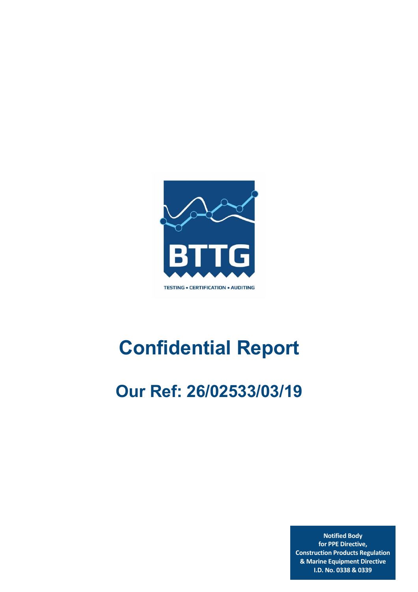

# **Confidential Report**

## **Our Ref: 26/02533/03/19**

**Notified Body for PPE Directive, Construction Products Regulation & Marine Equipment Directive I.D. No. 0338 & 0339**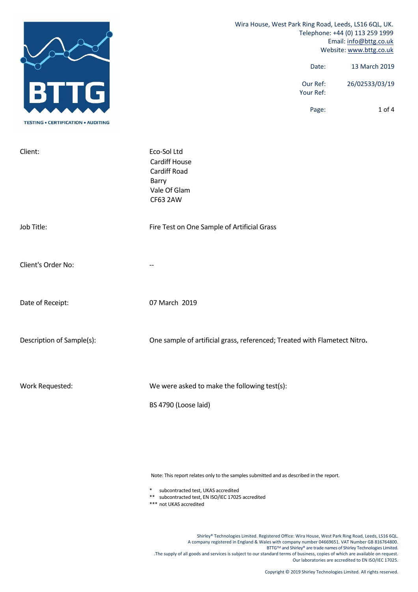|                                           | Wira House, West Park Ring Road, Leeds, LS16 6QL, UK.<br>Telephone: +44 (0) 113 259 1999<br>Email: info@bttg.co.uk<br>Website: www.bttg.co.uk |  |
|-------------------------------------------|-----------------------------------------------------------------------------------------------------------------------------------------------|--|
| lG.                                       | 13 March 2019<br>Date:                                                                                                                        |  |
|                                           | Our Ref:<br>26/02533/03/19<br>Your Ref:                                                                                                       |  |
| <b>TESTING • CERTIFICATION • AUDITING</b> | 1 of 4<br>Page:                                                                                                                               |  |
| Client:                                   | Eco-Sol Ltd<br>Cardiff House<br>Cardiff Road<br>Barry<br>Vale Of Glam<br>CF63 2AW                                                             |  |
| Job Title:                                | Fire Test on One Sample of Artificial Grass                                                                                                   |  |
| Client's Order No:                        |                                                                                                                                               |  |
| Date of Receipt:                          | 07 March 2019                                                                                                                                 |  |
| Description of Sample(s):                 | One sample of artificial grass, referenced; Treated with Flametect Nitro.                                                                     |  |
| Work Requested:                           | We were asked to make the following test(s):                                                                                                  |  |
|                                           | BS 4790 (Loose laid)                                                                                                                          |  |

Note: This report relates only to the samples submitted and as described in the report.

\* subcontracted test, UKAS accredited

\*\* subcontracted test, EN ISO/IEC 17025 accredited

\*\*\* not UKAS accredited

Shirley® Technologies Limited. Registered Office: Wira House, West Park Ring Road, Leeds, LS16 6QL. A company registered in England & Wales with company number 04669651. VAT Number GB 816764800. BTTG™ and Shirley® are trade names of Shirley Technologies Limited. .The supply of all goods and services is subject to our standard terms of business, copies of which are available on request. Our laboratories are accredited to EN ISO/IEC 17025.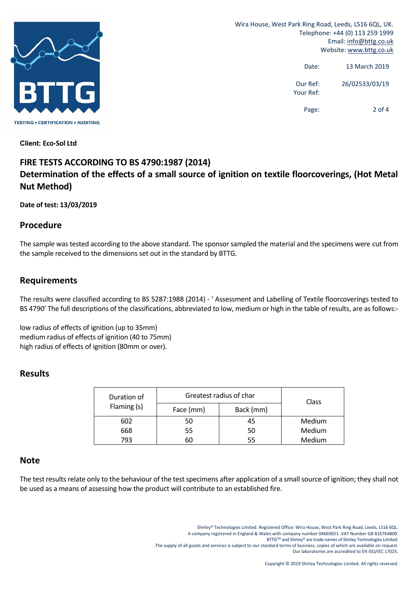

Wira House, West Park Ring Road, Leeds, LS16 6QL, UK. Telephone: +44 (0) 113 259 1999 Email: info@bttg.co.uk Website: www.bttg.co.uk

> Date: 13 March 2019 Our Ref: 26/02533/03/19 Your Ref:

> > Page: 2 of 4

**Client: Eco‐Sol Ltd**

### **FIRE TESTS ACCORDING TO BS 4790:1987 (2014) Determination of the effects of a small source of ignition on textile floorcoverings, (Hot Metal Nut Method)**

#### **Date of test: 13/03/2019**

#### **Procedure**

The sample was tested according to the above standard. The sponsor sampled the material and the specimens were cut from the sample received to the dimensions set out in the standard by BTTG.

#### **Requirements**

The results were classified according to BS 5287:1988 (2014) ‐ ' Assessment and Labelling of Textile floorcoverings tested to BS 4790' The full descriptions of the classifications, abbreviated to low, medium or high in the table of results, are as follows:-

low radius of effects of ignition (up to 35mm) medium radius of effects of ignition (40 to 75mm) high radius of effects of ignition (80mm or over).

#### **Results**

| Duration of<br>Flaming (s) | Greatest radius of char | Class     |        |
|----------------------------|-------------------------|-----------|--------|
|                            | Face (mm)               | Back (mm) |        |
| 602                        | 50                      | 45        | Medium |
| 668                        | 55                      | 50        | Medium |
| 793                        | 60                      | 55        | Medium |

#### **Note**

The test results relate only to the behaviour of the test specimens after application of a small source of ignition; they shall not be used as a means of assessing how the product will contribute to an established fire.

> Shirley® Technologies Limited. Registered Office: Wira House, West Park Ring Road, Leeds, LS16 6QL. A company registered in England & Wales with company number 04669651. VAT Number GB 816764800. BTTG™ and Shirley® are trade names of Shirley Technologies Limited.

.The supply of all goods and services is subject to our standard terms of business, copies of which are available on request.

Our laboratories are accredited to EN ISO/IEC 17025.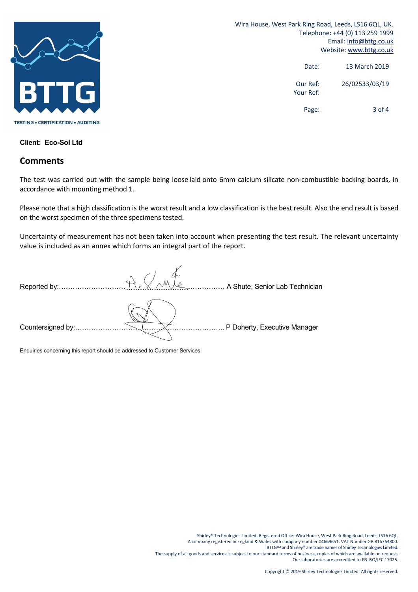

Wira House, West Park Ring Road, Leeds, LS16 6QL, UK. Telephone: +44 (0) 113 259 1999 Email: info@bttg.co.uk Website: www.bttg.co.uk

> Date: 13 March 2019 Our Ref: 26/02533/03/19 Your Ref: Page: 3 of 4

**Client: Eco-Sol Ltd**

#### **Comments**

The test was carried out with the sample being loose laid onto 6mm calcium silicate non‐combustible backing boards, in accordance with mounting method 1.

Please note that a high classification is the worst result and a low classification is the best result. Also the end result is based on the worst specimen of the three specimens tested.

Uncertainty of measurement has not been taken into account when presenting the test result. The relevant uncertainty value is included as an annex which forms an integral part of the report.

| Reported by:      | A Shute, Senior Lab Technician |
|-------------------|--------------------------------|
| Countersigned by: | P Doherty, Executive Manager   |

Enquiries concerning this report should be addressed to Customer Services.